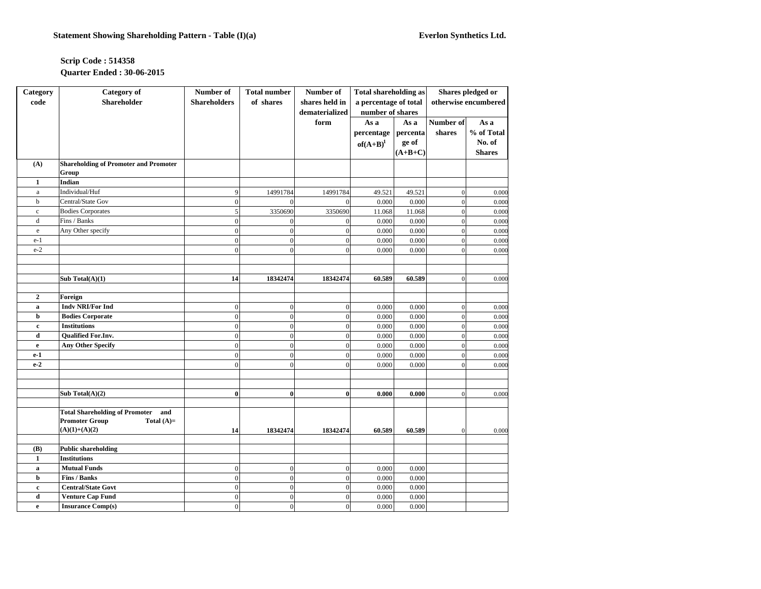## **Scrip Code : 514358 Quarter Ended : 30-06-2015**

| <b>Category</b>  | <b>Category</b> of                                    | Number of           | <b>Total number</b> | Number of        | <b>Total shareholding as</b> |           | Shares pledged or    |               |
|------------------|-------------------------------------------------------|---------------------|---------------------|------------------|------------------------------|-----------|----------------------|---------------|
| code             | <b>Shareholder</b>                                    | <b>Shareholders</b> | of shares           | shares held in   | a percentage of total        |           | otherwise encumbered |               |
|                  |                                                       |                     |                     | dematerialized   | number of shares             |           |                      |               |
|                  |                                                       |                     |                     | form             | As a                         | As a      | Number of            | As a          |
|                  |                                                       |                     |                     |                  | percentage                   | percenta  | shares               | % of Total    |
|                  |                                                       |                     |                     |                  | $of(A+B)^1$                  | ge of     |                      | No. of        |
|                  |                                                       |                     |                     |                  |                              | $(A+B+C)$ |                      | <b>Shares</b> |
| (A)              | <b>Shareholding of Promoter and Promoter</b><br>Group |                     |                     |                  |                              |           |                      |               |
| $\mathbf{1}$     | Indian                                                |                     |                     |                  |                              |           |                      |               |
| $\rm{a}$         | Individual/Huf                                        | 9                   | 14991784            | 14991784         | 49.521                       | 49.521    | $\mathbf 0$          | 0.000         |
| $\mathbf b$      | Central/State Gov                                     | $\overline{0}$      | $\Omega$            | $\overline{0}$   | 0.000                        | 0.000     | $\overline{0}$       | 0.000         |
| $\mathbf c$      | <b>Bodies Corporates</b>                              | 5                   | 3350690             | 3350690          | 11.068                       | 11.068    | $\overline{0}$       | 0.000         |
| d                | Fins / Banks                                          | $\theta$            | $\mathbf{0}$        | $\boldsymbol{0}$ | 0.000                        | 0.000     | $\mathbf 0$          | 0.000         |
| $\rm e$          | Any Other specify                                     | $\overline{0}$      | $\mathbf{0}$        | $\overline{0}$   | 0.000                        | 0.000     | $\overline{0}$       | 0.000         |
| $e-1$            |                                                       | $\overline{0}$      | $\mathbf{0}$        | $\boldsymbol{0}$ | 0.000                        | 0.000     | $\mathbf{0}$         | 0.000         |
| $e-2$            |                                                       | $\theta$            | $\theta$            | $\theta$         | 0.000                        | 0.000     | $\overline{0}$       | 0.000         |
|                  |                                                       |                     |                     |                  |                              |           |                      |               |
|                  |                                                       |                     |                     |                  |                              |           |                      |               |
|                  | Sub Total $(A)(1)$                                    | 14                  | 18342474            | 18342474         | 60.589                       | 60.589    | $\overline{0}$       | 0.000         |
|                  |                                                       |                     |                     |                  |                              |           |                      |               |
| $\overline{2}$   | Foreign                                               |                     |                     |                  |                              |           |                      |               |
| a                | <b>Indy NRI/For Ind</b>                               | $\mathbf{0}$        | $\mathbf{0}$        | $\mathbf{0}$     | 0.000                        | 0.000     | $\overline{0}$       | 0.000         |
| $\mathbf b$      | <b>Bodies Corporate</b>                               | $\theta$            | $\overline{0}$      | $\mathbf{0}$     | 0.000                        | 0.000     | $\overline{0}$       | 0.000         |
| c                | <b>Institutions</b>                                   | $\overline{0}$      | $\mathbf{0}$        | $\boldsymbol{0}$ | 0.000                        | 0.000     | $\mathbf 0$          | 0.000         |
| $\mathbf d$      | <b>Qualified For.Inv.</b>                             | $\theta$            | $\overline{0}$      | $\overline{0}$   | 0.000                        | 0.000     | $\mathbf{0}$         | 0.000         |
| $\mathbf{e}$     | <b>Any Other Specify</b>                              | $\overline{0}$      | $\boldsymbol{0}$    | $\boldsymbol{0}$ | 0.000                        | 0.000     | $\mathbf{0}$         | 0.000         |
| $e-1$            |                                                       | $\overline{0}$      | $\Omega$            | $\mathbf{0}$     | 0.000                        | 0.000     | $\mathbf{0}$         | 0.000         |
| $e-2$            |                                                       | $\theta$            | $\Omega$            | $\overline{0}$   | 0.000                        | 0.000     | $\mathbf{0}$         | 0.000         |
|                  |                                                       |                     |                     |                  |                              |           |                      |               |
|                  |                                                       |                     |                     |                  |                              |           |                      |               |
|                  | Sub Total $(A)(2)$                                    | $\bf{0}$            | $\bf{0}$            | $\bf{0}$         | 0.000                        | 0.000     | $\mathbf{0}$         | 0.000         |
|                  |                                                       |                     |                     |                  |                              |           |                      |               |
|                  | <b>Total Shareholding of Promoter</b><br>and          |                     |                     |                  |                              |           |                      |               |
|                  | <b>Promoter Group</b><br>Total $(A)=$                 |                     |                     |                  |                              |           |                      |               |
|                  | $(A)(1)+(A)(2)$                                       | 14                  | 18342474            | 18342474         | 60.589                       | 60.589    | $\mathbf{0}$         | 0.000         |
|                  |                                                       |                     |                     |                  |                              |           |                      |               |
| (B)              | <b>Public shareholding</b>                            |                     |                     |                  |                              |           |                      |               |
| $\mathbf{1}$     | <b>Institutions</b>                                   |                     |                     |                  |                              |           |                      |               |
| a                | <b>Mutual Funds</b>                                   | $\overline{0}$      | $\mathbf{0}$        | $\mathbf{0}$     | 0.000                        | 0.000     |                      |               |
| b                | Fins / Banks<br><b>Central/State Govt</b>             | $\overline{0}$      | $\mathbf{0}$        | $\boldsymbol{0}$ | 0.000                        | 0.000     |                      |               |
| $\mathbf c$<br>d |                                                       | $\overline{0}$      | $\mathbf{0}$        | $\mathbf{0}$     | 0.000                        | 0.000     |                      |               |
|                  | <b>Venture Cap Fund</b>                               | $\overline{0}$      | $\mathbf{0}$        | $\boldsymbol{0}$ | 0.000                        | 0.000     |                      |               |
| $\mathbf e$      | <b>Insurance Comp(s)</b>                              | $\overline{0}$      | $\mathbf{0}$        | $\mathbf{0}$     | 0.000                        | 0.000     |                      |               |